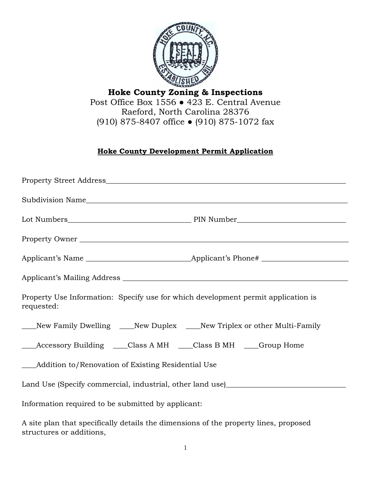

**Hoke County Zoning & Inspections** Post Office Box 1556 ● 423 E. Central Avenue Raeford, North Carolina 28376 (910) 875-8407 office ● (910) 875-1072 fax

## **Hoke County Development Permit Application**

| Property Owner                                                                                                   |  |
|------------------------------------------------------------------------------------------------------------------|--|
|                                                                                                                  |  |
|                                                                                                                  |  |
| Property Use Information: Specify use for which development permit application is<br>requested:                  |  |
| ____New Family Dwelling ____New Duplex ____New Triplex or other Multi-Family                                     |  |
| ____Accessory Building _____Class A MH _____Class B MH _____Group Home                                           |  |
| ___Addition to/Renovation of Existing Residential Use                                                            |  |
| Land Use (Specify commercial, industrial, other land use)_______________________                                 |  |
| Information required to be submitted by applicant:                                                               |  |
| A site plan that specifically details the dimensions of the property lines, proposed<br>structures or additions, |  |

1